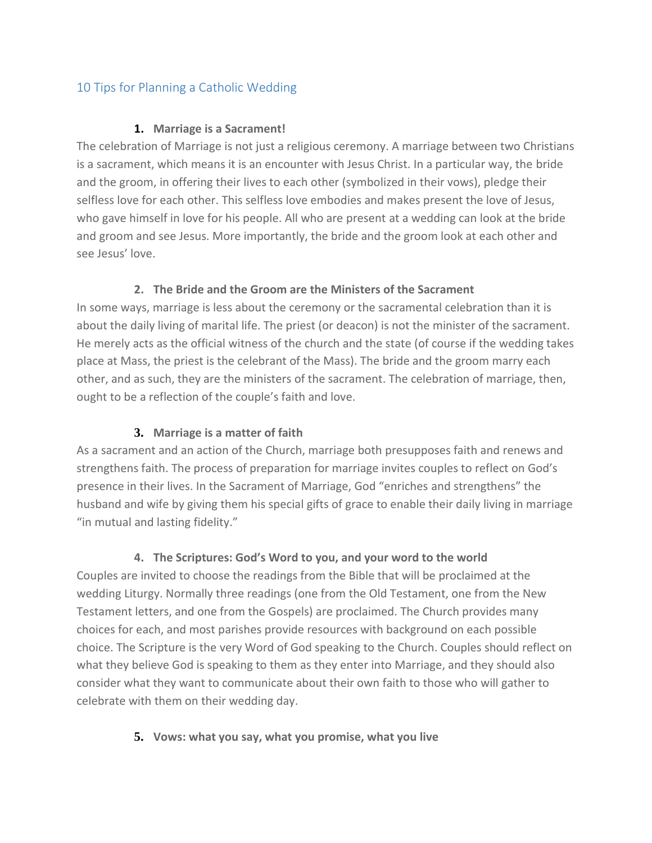# 10 Tips for Planning a Catholic Wedding

#### **1. Marriage is a Sacrament!**

The celebration of Marriage is not just a religious ceremony. A marriage between two Christians is a sacrament, which means it is an encounter with Jesus Christ. In a particular way, the bride and the groom, in offering their lives to each other (symbolized in their vows), pledge their selfless love for each other. This selfless love embodies and makes present the love of Jesus, who gave himself in love for his people. All who are present at a wedding can look at the bride and groom and see Jesus. More importantly, the bride and the groom look at each other and see Jesus' love.

### **2. The Bride and the Groom are the Ministers of the Sacrament**

In some ways, marriage is less about the ceremony or the sacramental celebration than it is about the daily living of marital life. The priest (or deacon) is not the minister of the sacrament. He merely acts as the official witness of the church and the state (of course if the wedding takes place at Mass, the priest is the celebrant of the Mass). The bride and the groom marry each other, and as such, they are the ministers of the sacrament. The celebration of marriage, then, ought to be a reflection of the couple's faith and love.

## **3. Marriage is a matter of faith**

As a sacrament and an action of the Church, marriage both presupposes faith and renews and strengthens faith. The process of preparation for marriage invites couples to reflect on God's presence in their lives. In the Sacrament of Marriage, God "enriches and strengthens" the husband and wife by giving them his special gifts of grace to enable their daily living in marriage "in mutual and lasting fidelity."

## **4. The Scriptures: God's Word to you, and your word to the world**

Couples are invited to choose the readings from the Bible that will be proclaimed at the wedding Liturgy. Normally three readings (one from the Old Testament, one from the New Testament letters, and one from the Gospels) are proclaimed. The Church provides many choices for each, and most parishes provide resources with background on each possible choice. The Scripture is the very Word of God speaking to the Church. Couples should reflect on what they believe God is speaking to them as they enter into Marriage, and they should also consider what they want to communicate about their own faith to those who will gather to celebrate with them on their wedding day.

#### **5. Vows: what you say, what you promise, what you live**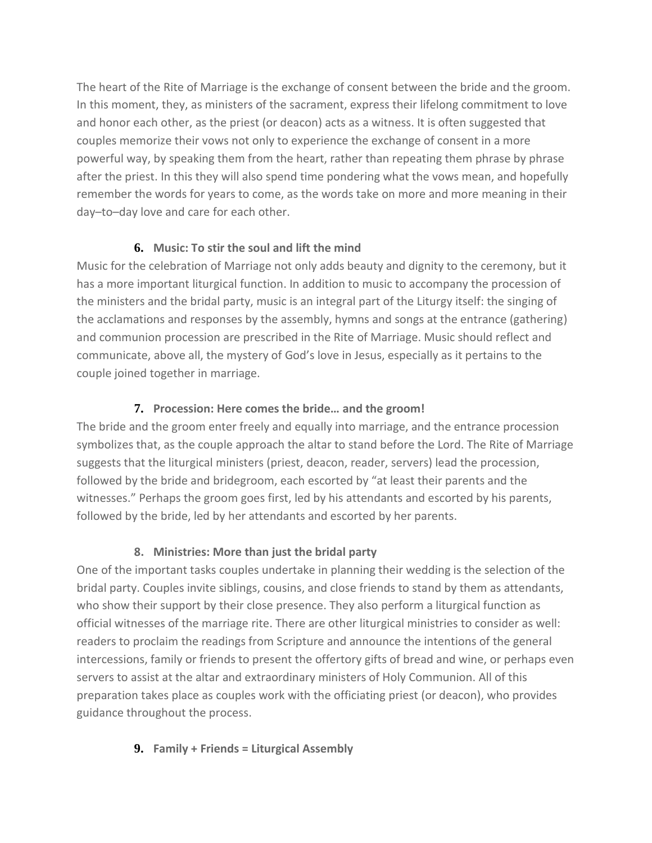The heart of the Rite of Marriage is the exchange of consent between the bride and the groom. In this moment, they, as ministers of the sacrament, express their lifelong commitment to love and honor each other, as the priest (or deacon) acts as a witness. It is often suggested that couples memorize their vows not only to experience the exchange of consent in a more powerful way, by speaking them from the heart, rather than repeating them phrase by phrase after the priest. In this they will also spend time pondering what the vows mean, and hopefully remember the words for years to come, as the words take on more and more meaning in their day–to–day love and care for each other.

### **6. Music: To stir the soul and lift the mind**

Music for the celebration of Marriage not only adds beauty and dignity to the ceremony, but it has a more important liturgical function. In addition to music to accompany the procession of the ministers and the bridal party, music is an integral part of the Liturgy itself: the singing of the acclamations and responses by the assembly, hymns and songs at the entrance (gathering) and communion procession are prescribed in the Rite of Marriage. Music should reflect and communicate, above all, the mystery of God's love in Jesus, especially as it pertains to the couple joined together in marriage.

### **7. Procession: Here comes the bride… and the groom!**

The bride and the groom enter freely and equally into marriage, and the entrance procession symbolizes that, as the couple approach the altar to stand before the Lord. The Rite of Marriage suggests that the liturgical ministers (priest, deacon, reader, servers) lead the procession, followed by the bride and bridegroom, each escorted by "at least their parents and the witnesses." Perhaps the groom goes first, led by his attendants and escorted by his parents, followed by the bride, led by her attendants and escorted by her parents.

## **8. Ministries: More than just the bridal party**

One of the important tasks couples undertake in planning their wedding is the selection of the bridal party. Couples invite siblings, cousins, and close friends to stand by them as attendants, who show their support by their close presence. They also perform a liturgical function as official witnesses of the marriage rite. There are other liturgical ministries to consider as well: readers to proclaim the readings from Scripture and announce the intentions of the general intercessions, family or friends to present the offertory gifts of bread and wine, or perhaps even servers to assist at the altar and extraordinary ministers of Holy Communion. All of this preparation takes place as couples work with the officiating priest (or deacon), who provides guidance throughout the process.

## **9. Family + Friends = Liturgical Assembly**